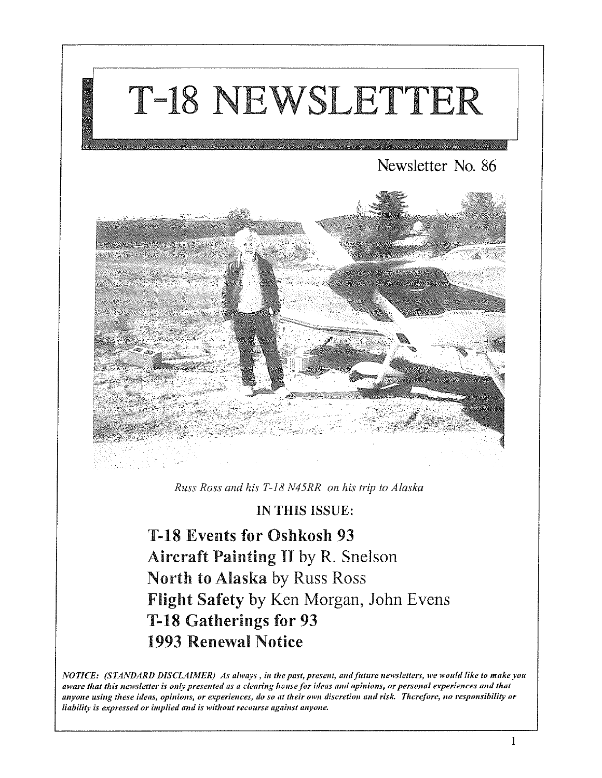# T-18 NEWSLETTER

# Newsletter No. 86



*Russ Ross and his T-18 N45RR on his trip to Alaska* 

## IN THIS ISSUE:

T-18 Events for Oshkosh 93 Aircraft Painting II by R. Snelson North to Alaska by Russ Ross Flight Safety by Ken Morgan, John Evens T-18 Gatherings for 93 1993 Renewal Notice

*NOTICE: (STANDARD DISCLAIMER) As always*, in the past, present, and future newsletters, we would like to make you aware that this newsletter is only presented as a clearing house for ideas and opinions, or personal experiences and that *anyone using these* **idells,** *opinions, or e'l:perieltces, do so at their own discretion* **Ilmi** *risk. Therefore, no responsibility or liability is expressed or implied and is without recourse against anyone.*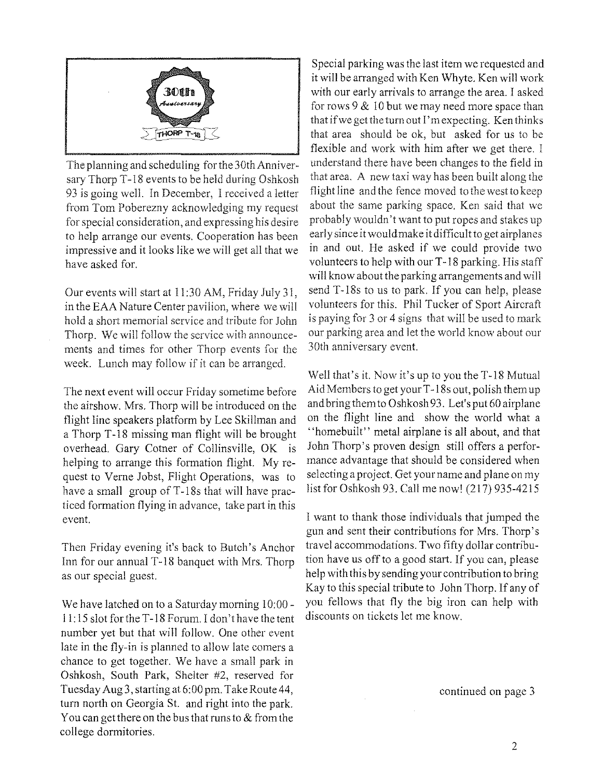

The planning and scheduling for the 30th Anniversary Thorp T-18 events to be held during Oshkosh 93 is going well. In December, I received a letter from Tom Poberezny acknowledging my request for special consideration, and expressing his desire to help arrange our events. Cooperation has been impressive and it looks like we wiII get all that we have asked for.

Our events will start at 11:30 AM, Friday July 31, in the EAA Nature Center pavilion, where we will hold a short memorial service and tribute for John Thorp. We wiII follow the service with announcements and times for other Thorp events for the week. Lunch may follow if it can be arranged.

The next event will occur Friday sometime before the airshow. Mrs. Thorp will be introduced on the flight line speakers platform by Lee Skillman and a Thorp T -18 missing man flight wiII be brought overhead. Gary Cotner of Collinsville, OK is helping to arrange this formation flight. My request to Verne Jobst, Flight Operations, was to have a small group of T-18s that will have practiced formation flying in advance, take part in this event.

Then Friday evening it's back to Butch's Anchor Inn for our annual T-18 banquet with Mrs. Thorp as our special guest.

We have latched on to a Saturday morning 10:00 -  $11:15$  slot for the T-18 Forum. I don't have the tent number yet but that will follow. One other event late in the fly-in is planned to allow late comers a chance to get together. We have a small park in Oshkosh, South Park, Shelter #2, reserved for Tuesday Aug3, starting at 6:00 pm. Take Route 44, turn north on Georgia St. and right into the park. You can get there on the bus that runs to  $&$  from the college dormitories.

Special parking was the last item we requested and it will be arranged with Ken Whyte. Ken will work with our early arrivals to arrange the area. I asked for rows  $9 \& 10$  but we may need more space than that if we getthe turn out I'm expecting. Ken thinks that area should be ok, but asked for us to be flexible and work with him after we get there. I understand there have been changes to the field in that area. A new taxi way has been built along the flight line and the fence moved to the westto keep about the same parking space. Ken said that we probably wouldn't want to put ropes and stakes up early since it would make it difficult to get airplanes in and out. He asked if we could provide two volunteers to help with our T -18 parking. His staff will know about the parking arrangements and will send T-18s to us to park. If you can help, please volunteers for this. Phil Tucker of Sport Aircraft is paying for 3 or 4 signs that will be used to mark our parking area and let the world know about our 30th anniversary event.

Well that's it. Now it's up to you the T-18 Mutual Aid Members to get your T -18s out, polish them up and bring them to Oshkosh 93. Let's put 60 airplane on the flight line and show the world what a "homebuilt" metal airplane is all about, and that John Thorp's proven design still offers a performance advantage that should be considered when selecting a project. Get your name and plane on my list for Oshkosh 93. Call me now! (217) 935-4215

I want to thank those individuals that jumped the gun and sent their contributions for Mrs. Thorp's travel accommodations. Two fifty dollar contribution have us off to a good start. If you can, please help with this by sending your contribution to bring Kay to this special tribute to John Thorp. If any of you fellows that fly the big iron can help with discounts on tickets let me know.

continued on page 3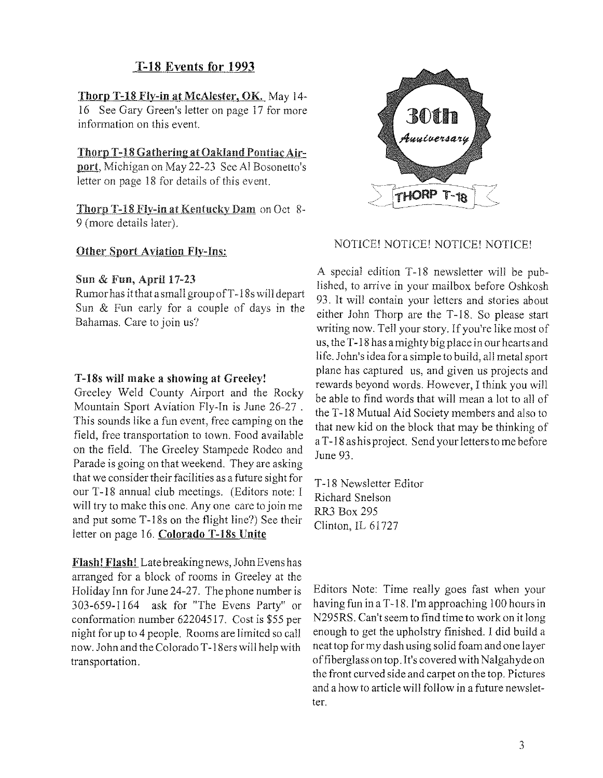## T-18 Events for 1993

#### Thorp T-18 Fly-in at McAlester, OK. May 14-

16 See Gary Green's letter on page 17 for more information on this event.

#### Thorp T-18 Gathering at Oakland Pontiac Air-

port, Michigan on May 22-23 See Al Bosonetto's letter on page 18 for details of this event.

Thorp T-18 Fly-in at Kentucky Dam on Oct 8-9 (more details later).

#### Other Sport Aviation Fly-Ins:

#### Sun & Fun, April 17-23

Rumorhas itthatasmaligroupofT-18s will depart Sun & Fun early for a couple of days in the Bahamas. Care to join us?

#### T-18s will make a showing at Greeley!

Greeley Weld County Airport and the Rocky Mountain Sport Aviation Fly-In is June 26-27 . This sounds like a fun event, free camping on the field, free transportation to town. Food available on the field. The Greeley Stampede Rodeo and Parade is going on that weekend. They are asking that we consider their facilities as a future sight for our T -18 annual club meetings. (Editors note: I will try to make this one. Anyone care to join me and put some T -18s on the flight line?) See their letter on page 16. Colorado T-18s Unite

Flash! Flash! Late breaking news, John Evens has arranged for a block of rooms in Greeley at the Holiday Inn for June 24-27. The phone number is 303-659-1164 ask for "The Evens Party" or conformation number 62204517. Cost is \$55 per night for up to 4 people. Rooms are limited so call now. John and the Colorado T -18ers will help with transportation.



#### NOTICE! NOTICE! NOTICE! NOTICE!

A special edition T -18 newsletter will be published, to arrive in your mailbox before Oshkosh 93. It will contain your letters and stories about either John Thorp are the T-18. So please start writing now. Tell your story. If you're like most of us, the T-18 has a mighty big place in our hearts and life. John's idea for a simple to build, all metal sport plane has captured us, and given us projects and rewards beyond words. However, I think you will be able to find words that will mean a lot to all of the T-18 Mutual Aid Society members and also to that new kid on the block that may be thinking of a T-18 ashis project. Send your letters to me before June 93.

T-18 Newsletter Editor Richard Snelson RR3 Box 295 Clinton, 1L 61727

Editors Note: Time really goes fast when your having fun in a T -18. I'm approaching 100 hours in N295RS. Can't seem to find time to work on it long enough to get the upholstry finished. I did build a neat top for my dash using solid foam and one layer of fiberglass on top. It's covered with Nalgahydeon the front curved side and carpet on the top. Pictures and a how to article will follow in a future newsletter.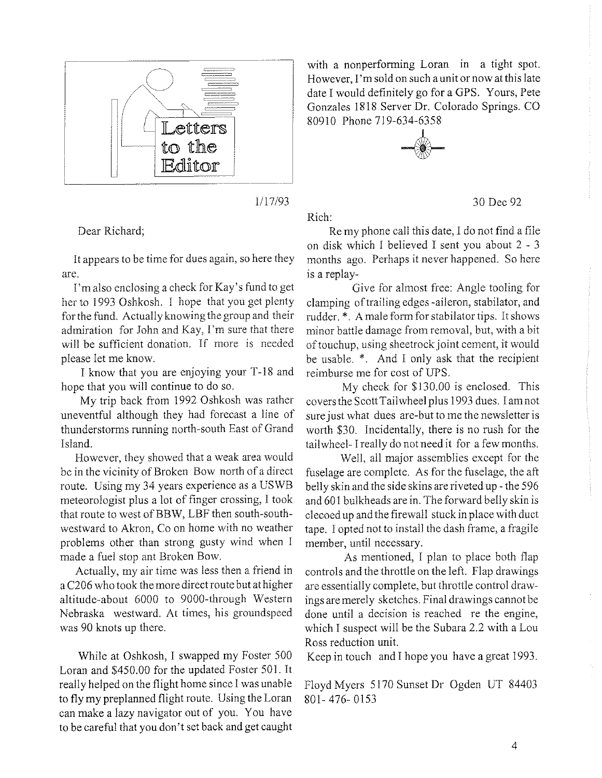

1/17/93

Rich:

#### Dear Richard;

It appears to be time for dues again, so here they are.

I'm also enclosing a check for Kay's fund to get her to 1993 Oshkosh. I hope that you get plenty for the fund. Actually knowing the group and their admiration for John and Kay, I'm sure that there will be sufficient donation. If more is needed please let me know.

I know that you are enjoying your T-18 and hope that you will continue to do so.

My trip back from 1992 Oshkosh was rather uneventful although they had forecast a line of thunderstorms running north-south East of Grand Island.

However, they showed that a weak area would be in the vicinity of Broken Bow north of a direct route. Using my 34 years experience as a USWB meteorologist plus a lot of finger crossing, I took that route to west of BBW, LBF then south-southwestward to Akron, Co on home with no weather problems other than strong gusty wind when I made a fuel stop ant Broken Bow.

Actually, my air time was less then a friend in a C206 who took the more direct route but at higher altitude-about 6000 to 9000-through Western Nebraska westward. At times, his groundspeed was 90 knots up there.

While at Oshkosh, I swapped my Foster 500 Loran and \$450.00 for the updated Foster 501. It really helped on the flight horne since I was unable to fly my preplanned flight route. Using the Loran can make a lazy navigator out of you. You have to be careful that you don't set back and get caught

with a nonperforming Loran in a tight spot. However, I'm sold on such a unit ornow at this late date I would definitely go for a GPS. Yours, Pete Gonzales 1818 Server Dr. Colorado Springs. CO 80910 Phone 719-634-6358



Re my phone call this date, I do not find a file on disk which 1 believed I sent you about 2 - 3 months ago. Perhaps it never happened. So here is a replay-

30 Dec 92

Give for almost free: Angle tooling for clamping of trailing edges -aileron, stabilator, and rudder. \*. A male form for stabilator tips. It shows minor battle damage from removal, but, with a bit of touchup, using sheetrock joint cement, it would be usable. \*. And I only ask that the recipient reimburse me for cost of UPS.

My check for \$130.00 is enclosed. This covers the Scott Tail wheel plus 1993 dues. I amnot sure just what dues are-but to me the newsletter is worth \$30. Incidentally, there is no rush for the tailwheel- I really do not need it for a few months.

Well, all major assemblies except for the fuselage are complete. As for the fuselage, the aft belly skin and the side skins are riveted up - the 596 and 601 bulkheads are in. The forward belly skin is decoed up and the firewall stuck in place with duct tape. I opted not to install the dash frame, a fragile member, until necessary.

As mentioned, I plan to place both flap controls and the throttle on the left. Flap drawings are essentially complete, but throttle control drawings are merely sketches. Final drawings cannot be done until a decision is reached re the engine, which I suspect will be the Subara 2.2 with a Lou Ross reduction unit.

Keep in touch and I hope you have a great 1993.

Floyd Myers 5170 Sunset Dr Ogden UT 84403 801- 476- 0153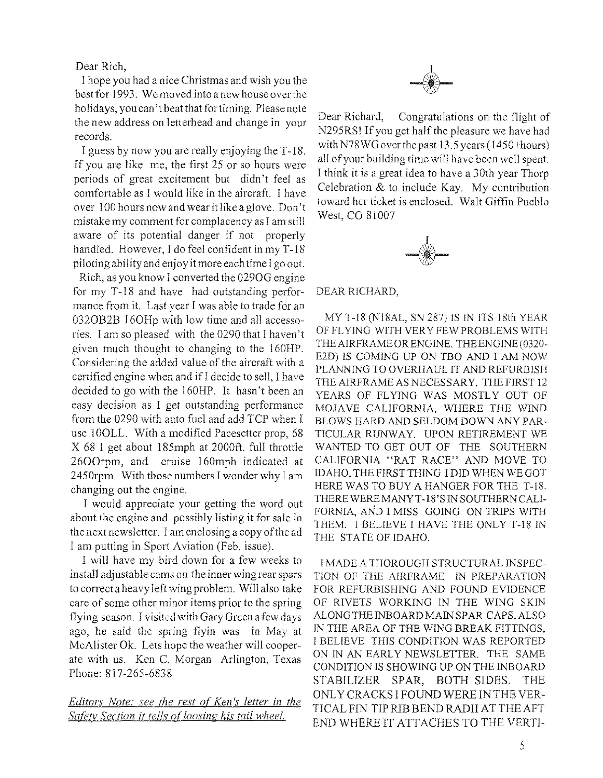Dear Rich,

I hope you had a nice Christmas and wish you the best for 1993. We moved into a new house overthe holidays, youcan't beatthat for timing. Please note the new address on letterhead and change in your records.

I guess by now you are really enjoying the T-18. If you are like me, the first 25 or so hours were periods of great excitement but didn't feel as comfortable as I would like in the aircraft. I have over 100 hours now and wear it like a glove. Don't mistake my comment for complacency as J am still aware of its potential danger if not properly handled. However, I do feel confident in my T-18 piloting ability and enjoy it more each time I go out.

Rich, as you know I converted the 0290G engine for my T-18 and have had outstanding performance from it. Last year I was able to trade for an 032OB2B 16OHp with low time and all accessories. I am so pleased with the 0290 that I haven't given much thought to changing to the 160HP. Considering the added value of the aircraft with a certified engine when and if I decide to sell, I have decided to go with the 160HP. It hasn't been an easy decision as I get outstanding performance from the 0290 with auto fuel and add TCP when I use 100LL. With a modified Pacesetter prop, 68 X 68 I get about 185mph at 2000ft. full throttle 2600rpm, and cruise 160mph indicated at 2450rpm. With those numbers I wonder why I am changing out the engine.

I would appreciate your getting the word out about the engine and possibly listing it for sale in the next newsletter. I am enclosing a copy of the ad I am putting in Sport Aviation (Feb. issue).

I will have my bird down for a few weeks to install adjustable cams on the inner wing rear spars to correct a heavy left wing problem. Will also take care of some other minor items prior to the spring flying season. I visited with Gary Green a few days ago, he said the spring flyin was in May at McAlister Ok. Lets hope the weather will cooperate with us. Ken C. Morgan Arlington, Texas Phone: 817-265-6838

*Editors Note: see the rest of Ken's letter in the* **Safety Section it tells of loosing his tail wheel.** 



Dear Richard, Congratulations on the flight of N295RS! If you get half the pleasure we have had with N78WG over the past 13.5 years (I450+hours) all of your building time will have been well spent. I think it is a great idea to have a 30th year Thorp Celebration & to include Kay. My contribution toward her ticket is enclosed. Walt Giffin Pueblo West, CO 81007



DEAR RICHARD,

MY T-18 (NI8AL, SN 287) IS IN ITS 18th YEAR OF FL YING WITH VERY FEW PROBLEMS WITH THE AIRFRAME OR ENGINE. THEENGlNE(0320- E2D) IS COMING UP ON TBO AND I AM NOW PLANNING TO OVERHAUL IT AND REFURBISH THE AIRFRAME AS NECESSARY. THE FIRST 12 YEARS OF FLYING WAS MOSTLY OUT OF MOJAVE CALIFORNIA, WHERE THE WIND BLOWS HARD AND SELDOM DOWN ANY PAR-TICULAR RUNWAY. UPON RETIREMENT WE WANTED TO GET OUT OF THE SOUTHERN CALIFORNIA "RAT RACE" AND MOVE TO IDAHO, THE FIRST THING !DID WHEN WE GOT HERE WAS TO BUY A HANGER FOR THE T-IS. THERE WEREMANYT-lS'S IN SOUTHERN CALI-FORNIA, AND I MISS GOING ON TRIPS WITH THEM. I BELIEVE I HAVE THE ONLY T-18 IN THE STATE OF IDAHO.

I MADE A THOROUGH STRUCTURAL INSPEC-TION OF THE AIRFRAME IN PREPARATION FOR REFURBISHING AND FOUND EVIDENCE OF RIVETS WORKING IN THE WING SKIN ALONG THE INBOARD MAIN SPAR CAPS,ALSO IN THE AREA OF THE WING BREAK FITTINGS, I BELIEVE THIS CONDITION WAS REPORTED ON IN AN EARLY NEWSLETTER. THE SAME CONDITION IS SHOWING UP ON THE INBOARD STABILIZER SPAR, BOTH SIDES. THE ONL Y CRACKS I FOUND WERE INTHE VER-TlCALFIN TlP RIB BEND RADII AT THE AFT END WHERE IT ATTACHES TO THE VERTI-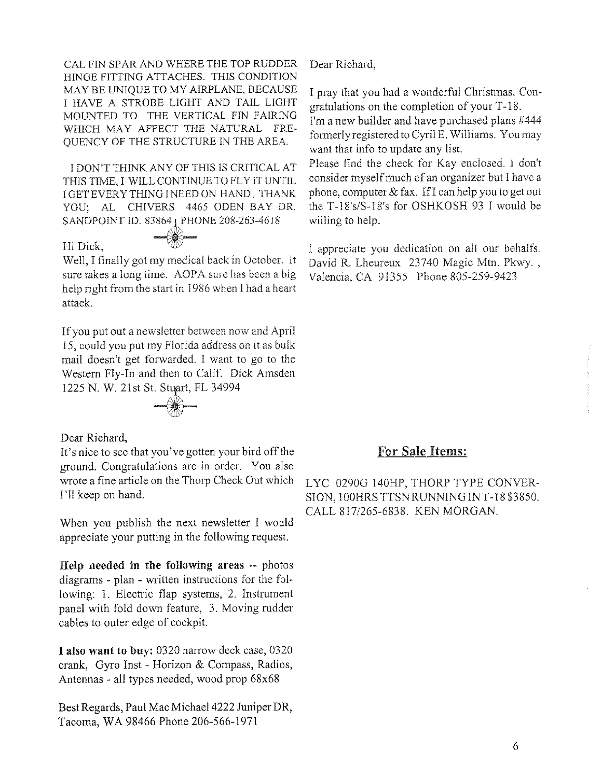CAL FIN SPAR AND WHERE THE TOP RUDDER HINGE FITTING ATTACHES. THIS CONDITION MAYBE UNIQUE TO MY AIRPLANE, BECAUSE I HAVE A STROBE LIGHT AND TAIL LIGHT MOUNTED TO THE VERTICAL FIN FAIRING WHICH MAY AFFECT THE NATURAL FRE-QUENCY OF THE STRUCTURE IN THE AREA.

I DON'T THINK ANY OF THIS IS CRITICAL AT THIS TIME, I WILL CONTINUE TO FLY IT UNTIL I GET EVERYTHING INEED ON HAND. THANK YOU; AL CHIVERS 4465 ODEN BAY DR. SANDPOINT ID. 83864 | PHONE 208-263-4618

#### Hi Dick.

Well, I finally got my medical back in October. It sure takes a long time. AOPA sure has been a big help right from the start in 1986 when I had a heart attack.

If you put out a newsletter between now and April 15, could you put my Florida address on it as bulk mail doesn't get forwarded. I want to go to the Western Fly-In and then to Calif. Dick Amsden 1225 N. W. 21st St. Stuart, FL 34994



#### Dear Richard,

It's nice to see that you've gotten your bird off the ground. Congratulations are in order. You also wrote a fine article on the Thorp Check Out which I'll keep on hand.

When you publish the next newsletter I would appreciate your putting in the following request.

Help needed in the following areas -- photos diagrams - plan - written instructions for the following: 1. Electric flap systems, 2. Instrument panel with fold down feature, 3. Moving rudder cables to outer edge of cockpit.

I also want to buy: 0320 narrow deck case, 0320 crank, Gyro Inst - Horizon & Compass, Radios, Antennas - all types needed, wood prop 68x68

Best Regards, Paul Mac Michael 4222 Juniper DR, Tacoma, WA 98466 Phone 206-566-1971

Dear Richard,

I pray that you had a wonderful Christmas. Congratulations on the completion of your T-18.

I'm a new builder and have purchased plans #444 formerly registered to Cyril E. Williams. You may want that info to update any list.

Please find the check for Kay enclosed. I don't consider myself much of an organizer but I have a phone, computer  $&$  fax. If I can help you to get out the T-18's/S-18's for OSHKOSH 93 I would be willing to help.

I appreciate you dedication on all our behalfs. David R. Lheureux 23740 Magic Mtn. Pkwy. , Valencia, CA 91355 Phone 805-259-9423

#### For Sale Hems:

LYC 0290G 140HP, THORP TYPE CONVER-SION,100HRSTTSNRUNNINGINT-18\$3850. CALL 817/265-6838. KEN MORGAN.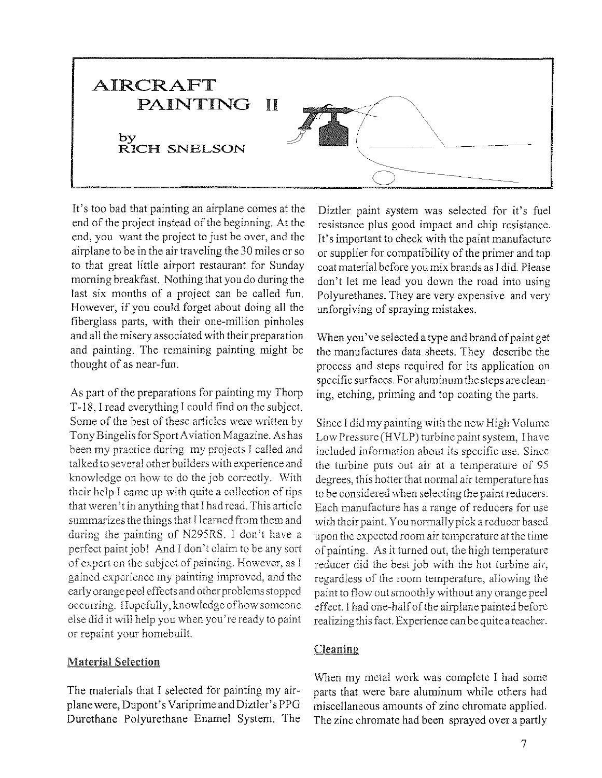

It's too bad that painting an airplane comes at the end of the project instead of the beginning. At the end, you want the project to just be over, and the airplane to be in the air traveling the 30 miles or so to that great little airport restaurant for Sunday morning breakfast. Nothing that you do during the last six months of a project can be called fun. However, if you could forget about doing all the fiberglass parts, with their one-million pinholes and all the misery associated with their preparation and painting. The remaining painting might be thought of as near-fun.

As part of the preparations for painting my Thorp T-18, I read everything I could find on the subject. Some of the best of these articles were written by Tony Bingelis for Sport A viation Magazine. As has been my practice during my projects I called and talked to several other builders with experience and knowledge on how to do the job conectly. With their help I came up with quite a collection of tips that weren't in anything that I had read. This article summarizes the things that I learned from them and during the painting of N295RS, I don't have a perfect paint job! And I don't claim to be any sort of expert on the subject of painting, However, as I gained experience my painting improved, and the early orange peel cffeetsand other problems stopped occurring. Hopefully, knowledge of how someone else did it will help you when you're ready to paint or repaint your homebuilt.

#### Material Selection

The materials that I selected for painting my airplane were, Dupont's Variprime and Diztler's PPG Durethane Polyurethane Enamel System. The

Diztler paint system was selected for it's fuel resistance plus good impact and chip resistance. It's important to check with the paint manufacture or supplier for compatibility of the primer and top coat material before you mix brands as I did. Please don't let me lead you down the road into using Polyurethanes. They are very expensive and very unforgiving of spraying mistakes.

When you've selected a type and brand of paint get the manufactures data sheets. They describe the process and steps required for its application on specific surfaces. For aluminum the steps are cleaning, etching, priming and top coating the parts.

Since I did my painting with the new High Volume Low Pressure (HVLP) turbine paint system, I have included information about its specific use. Since the turbine puts out air at a temperature of 95 degrees, this hotter that normal air temperature has to be considered when selecting the paint reducers, Each manufacture has a range of reducers for use with their paint. You normally pick a reducer based upon the expected room air temperature at the time of painting, As it turned out, the high temperature reducer did the best job with the hot turbine air, regardless of the room temperature, allowing the paint to flow out smoothly without any orange peel effect. I had one-half of the airplane painted before realizing this fact. Experience can be quite a teacher.

#### Cleaning

When my metal work was complete I had some parts that were bare aluminum while others had miscellaneous amounts of zinc chromate applied. The zinc chromate had been sprayed over a partly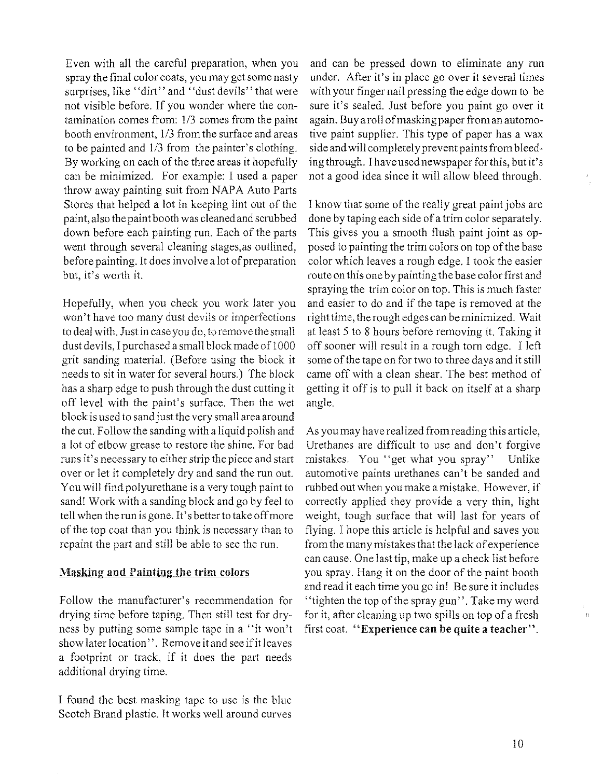Even with all the careful preparation, when you spray the final color coats, you may get some nasty surprises, like "dirt" and "dust devils" that were not visible before. If you wonder where the contamination comes from: 1/3 comes from the paint booth environment, 1/3 from the surface and areas to be painted and  $1/3$  from the painter's clothing. By working on each of the three areas it hopefully can be minimized. For example: I used a paper throwaway painting suit from NAPA Auto Paris Stores that helped a lot in keeping lint out of the paint, also the paint booth was cleaned and scrubbed down before each painting run. Each of the parts went through several cleaning stages, as outlined, before painting. It does involve a lot of preparation but, it's worth it.

Hopefully, when you check you work later you won't have too many dust devils or imperfections to deal with. Just in case you do, to remove the small dust devils, I purchased a small block made of 1000 grit sanding material. (Before using the block it needs to sit in water for several hours.) The block has a sharp edge to push through the dust cutting it off level with the paint's surface. Then the wet block is used to sand just the very small area around the cut. Follow the sanding with a liquid polish and a lot of elbow grease to restore the shine. For bad runs it's necessary to either strip the piece and start over or let it completely dry and sand the run out. You will find polyurethane is a very tough paint to sand! Work with a sanding block and go by feel to tell when the run is gone. It's better to take offmore of the top coat than you think is necessary than to repaint the part and still be able to see the run.

#### Masking and Painting the trim colors

Follow the manufacturer's recommendation for drying time before taping. Then still test for dryness by putting some sample tape in a "it won't show later location". Remove it and see if it leaves a footprint or track, if it does the part needs additional drying time.

I found the best masking tape to use is the blue Scotch Brand plastic. It works well around curves

and can be pressed down to eliminate any run under. After it's in place go over it several times with your finger nail pressing the edge down to be sure it's sealed. Just before you paint go over it again. Buy a roll of masking paper from an automotive paint supplier. This type of paper has a wax side and will completely prevent paints from bleeding through. I have used newspaper forthis, but it's not a good idea since it will allow bleed through.

I know that some of the really great paint jobs are done by taping each side of a trim color separately. This gives you a smooth flush paint joint as opposed to painting the trim colors on top of the base color which leaves a rough edge. I took the easier route on this one by painting the base color first and spraying the trim color on top. This is much faster and easier to do and if the tape is removed at the righttime, the rough edges can be minimized. Wait at least 5 to 8 hours before removing it. Taking it off sooner will result in a rough torn edge. I left some of the tape on for two to three days and it still came off with a clean shear. The best method of getting it off is to pull it back on itself at a sharp angle.

As you may have realized from reading this article, Urethanes are difficult to use and don't forgive mistakes. You "get what you spray" Unlike automotive paints urethanes can't be sanded and rubbed out when you make a mistake. However, if correctly applied they provide a very thin, light weight, tough surface that will last for years of flying. I hope this article is helpful and saves you from the many mistakes that the lack of experience can cause. One last tip, make up a check list before you spray. Hang it on the door of the paint booth and read it each time you go in! Be sure it includes "tighten the top of the spray gun". Take my word for it, after cleaning up two spills on top of a fresh first coat. "Experience can be quite a teacher".

 $\mathbb{H}$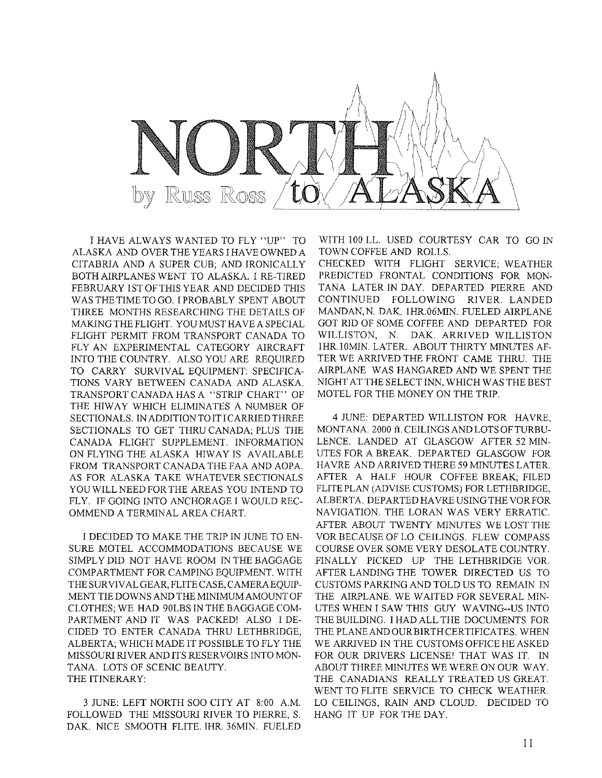

I HAVE ALWAYS WANTED TO FLY "UP" TO ALASKA AND OVER THE YEARS I HAVE OWNED A CITABRIA AND A SUPER CUB; AND IRONICALLY BOTH AIRPLANES WENT TO ALASKA. I RE-TIRED FEBRUARY ISTOFTHIS YEAR AND DECIDED THIS WAS THE TIME TO GO. I PROBABLY SPENT ABOUT THREE MONTHS RESEARCHING THE DETAILS OF MAKING THE FLIGHT. YOU MUST HAVE A SPECIAL FLIGHT PERMIT FROM TRANSPORT CANADA TO FLY AN EXPERIMENTAL CATEGORY AIRCRAFT INTO THE COUNTRY. ALSO YOU ARE REQUIRED TO CARRY SURVIVAL EQUIPMENT: SPECIFICA-TIONS VARY BETWEEN CANADA AND ALASKA. TRANSPORT CANADA HAS A "STRIP CHART" OF THE HIWAY WHICH ELIMINATES A NUMBER OF SECTIONALS. IN ADDITION TO ITTCARRIED THREE SECTIONALS TO GET THRU CANADA; PLUS THE CANADA FLIGHT SUPPLEMENT. INFORMATION ON FLYING THE ALASKA HIWAY IS AVAILABLE FROM TRANSPORT CANADA THE FAA AND AOPA. AS FOR ALASKA TAKE WHATEVER SECTIONALS YOU WILL NEED FOR THE AREAS YOU INTEND TO FLY. IF GOING INTO ANCHORAGE I WOULD REC-OMMEND A TERMINAL AREA CHART.

I DECIDED TO MAKE THE TRIP IN JUNE TO EN-SURE MOTEL ACCOMMODATIONS BECAUSE WE SIMPLY DID NOT HAVE ROOM IN THE BAGGAGE COMPARTMENT FOR CAMPING EQUIPMENT. WITH THE SURVIVAL GEAR, FLITE CASE, CAMERA EQUIP-MENT TIE DOWNS AND THE MINIMUM AMOUNT OF CLOTHES; WE HAD 90LBS IN THE BAGGAGE COM-PARTMENT AND IT WAS PACKED! ALSO I DE-CIDED TO ENTER CANADA THRU LETHBRIDGE, ALBERTA; WHICH MADE IT POSSIBLE TO FLYTHE MISSOURI RIVER AND ITS RESERVOIRS INTO MON-TANA. LOTS OF SCENIC BEAUTY. THE ITINERARY:

3 JUNE: LEFT NORTH SOO CITY AT 8:00 A.M. FOLLOWED THE MISSOURI RIVER TO PIERRE, S. DAK. NICE SMOOTH FLITE. IHR. 36MIN. FUELED WITH 100 LL. USED COURTESY CAR TO GO IN TOWN COFFEE AND ROLLS.

CHECKED WITH FLIGHT SERVICE; WEATHER PREDICTED FRONTAL CONDITIONS FOR MON-TANA LATER IN DAY. DEPARTED PIERRE AND CONTINUED FOLLOWING RIVER. LANDED MANDAN, N. DAK. 1HR.06MIN. FUELED AIRPLANE GOT RID OF SOME COFFEE AND DEPARTED FOR WILLISTON, N. DAK. ARRIVED WILLISTON IHR.10MIN. LATER. ABOUT THIRTY MINUTES AF-TER WE ARRIVED THE FRONT CAME THRU. THE AIRPLANE WAS HANGARED AND WE SPENT THE NIGHT AT THE SELECT INN, WHICH WAS THE BEST MOTEL FOR THE MONEY ON THE TRIP.

4 JUNE: DEPARTED WILLISTON FOR HAVRE, MONTANA. 2000 ft.CEILINGSANDLOTSOFTURBU-LENCE. LANDED AT GLASGOW AFTER 52 MIN-UTES FOR A BREAK. DEPARTED GLASGOW FOR HAVRE AND ARRIVED THERE 59 MINUTES LATER. AFTER A HALF HOUR COFFEE BREAK; FILED FLITEPLAN (ADVISE CUSTOMS) FOR LETHBRIDGE, ALBERTA. DEPARTED HAVRE USING THE VORFOR NAVIGATION. THE LORAN WAS VERY ERRATIC. AFTER ABOUT TWENTY MINUTES WE LOST THE VOR BECAUSE OF LO CEILINGS. FLEW COMPASS COURSE OVER SOME VERY DESOLATE COUNTRY. FINALLY PICKED UP THE LETHBRIDGE VOR AFTER LANDING THE TOWER DIRECTED US TO CUSTOMS PARKING AND TOLD US TO REMAIN IN THE AIRPLANE. WE WAITED FOR SEVERAL MIN-UTES WHEN I SAW THIS GUY WAVING--US INTO THE BUILDING. I HAD ALL THE DOCUMENTS FOR THE PLANE AND OURBIRTH CERTIFICATES. WHEN WE ARRIVED IN THE CUSTOMS OFFICE HE ASKED FOR OUR DRIVERS LICENSE! THAT WAS IT. IN ABOUT THREE MINUTES WE WERE ON OUR WAY. THE CANADIANS REALLY TREATED US GREAT. WENT TO FLITE SERVICE TO CHECK WEATHER. LO CEILINGS, RAIN AND CLOUD. DECIDED TO HANG IT UP FOR THE DAY.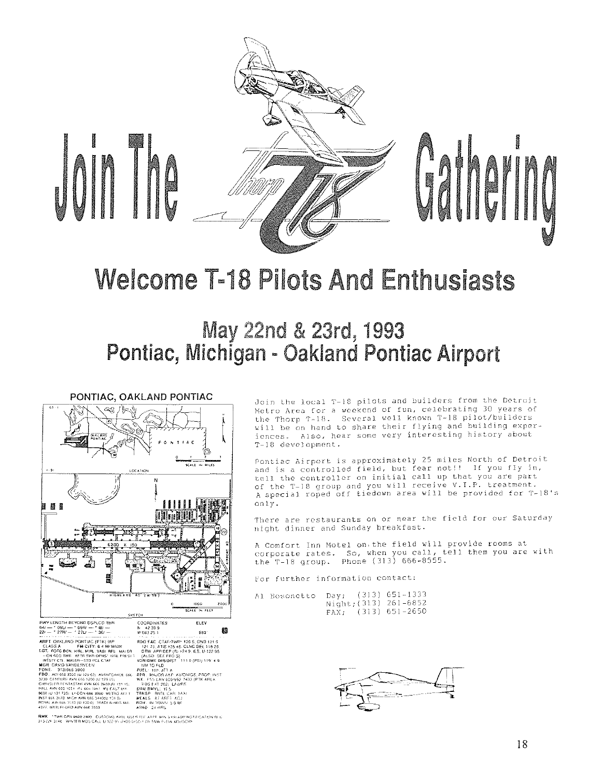

# Welcome T-18 Pilots And Enthusiasts

# May 22nd & 23rd, 1993 Pontiac, Michigan - Oakland Pontiac Airport



Join the local T-18 pilots and builders from the Detroit Metro Area for a weekend of fun, celebrating 30 years of the Thorp T-18. Several well known T-18 pilot/builders will be on hand to share their flying and building experiences. Also, hear some very interesting history about T-IB development.

Pontiac Airport is approximately 25 miles North of Detroit and is a controlled field, but fear not!! If you fly in, tell the controller on initial call up that you are part of the T-18 group and you will receive V.I.P. treatment.<br>A special roped off tiedown area will be provided for T-18's only.

There are restaurants on or near the field for our Saturday night dinner and Sunday breakfast.

A Comfort Inn Motel on,the field will provide rooms at corporate rates. So, when you call, tell them you are with the T-18 group. Phone (313) 666-8555.

for further information contact:

Al Bosonetto Day; (313) 651-1333

Night; (313) 261-6852 FAXi (313) 6S1-2650



**RMK - 'TWR OPN 0600 2400 - CUSTOMS AVBL US<br>313.22F 314C - WP/TER MOS CALL U 122 95 <sub>1</sub>2400**